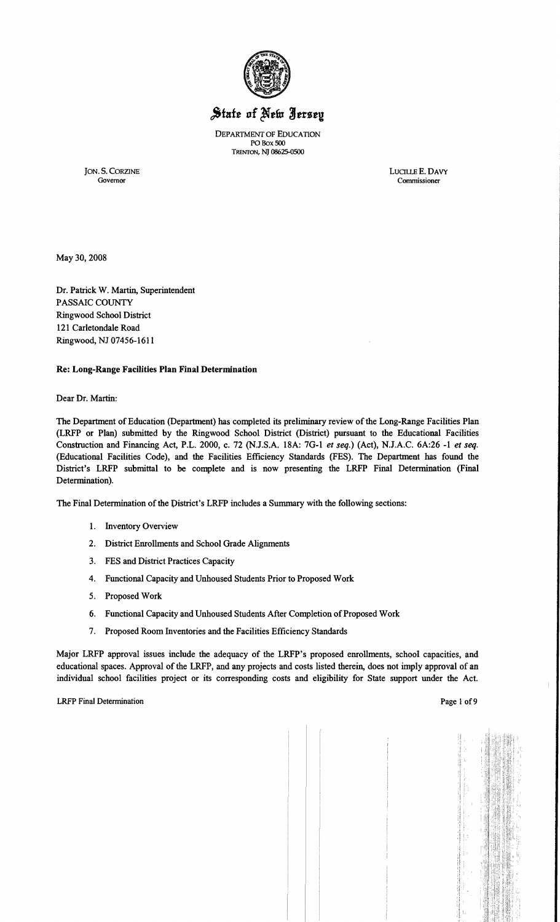

# State of New Jersey

DEPARTMENT OF EDUCATION PO Box SOO TRENTON, NJ 08625-0500

JON. S. CORZINE LUCTLLE E. DAVY Governor Commissioner Governor Commissioner

May 30, 2008

Dr. Patrick W. Martin, Superintendent PASSAIC COUNTY Ringwood School District 121 Carletondale Road Ringwood, NJ 07456-1611

# Re: Long-Range Facilities Plan Final Determination

#### Dear Dr. Martin:

The Department of Education (Department) has completed its preliminary review of the Long-Range Facilities Plan (LRFP or Plan) submitted by the Ringwood School District (District) pursuant to the Educational Facilities Construction and Financing Act, P.L. 2000, c. 72 (NJ.S.A. 18A: 7G-l *et seq.)* (Act), N.J.A.C. 6A:26 -1 *et seq.*  (Educational Facilities Code), and the Facilities Efficiency Standards (FES). The Department has found the District's LRFP submittal to be complete and is now presenting the LRFP Final Determination (Final Determination).

The Final Determination of the District's LRFP includes a Summary with the following sections:

- 1. Inventory Overview
- 2. District Enrollments and School Grade Alignments
- 3. FES and District Practices Capacity
- 4. Functional Capacity and Unhoused Students Prior to Proposed Work
- 5. Proposed Work
- 6. Functional Capacity and Unhoused Students After Completion of Proposed Work
- 7. Proposed Room Inventories and the Facilities Efficiency Standards

Major LRFP approval issues include the adequacy of the LRFP's proposed enrollments, school capacities, and educational spaces. Approval of the LRFP, and any projects and costs listed therein, does not imply approval of an individual school facilities project or its corresponding costs and eligibility for State support under the Act.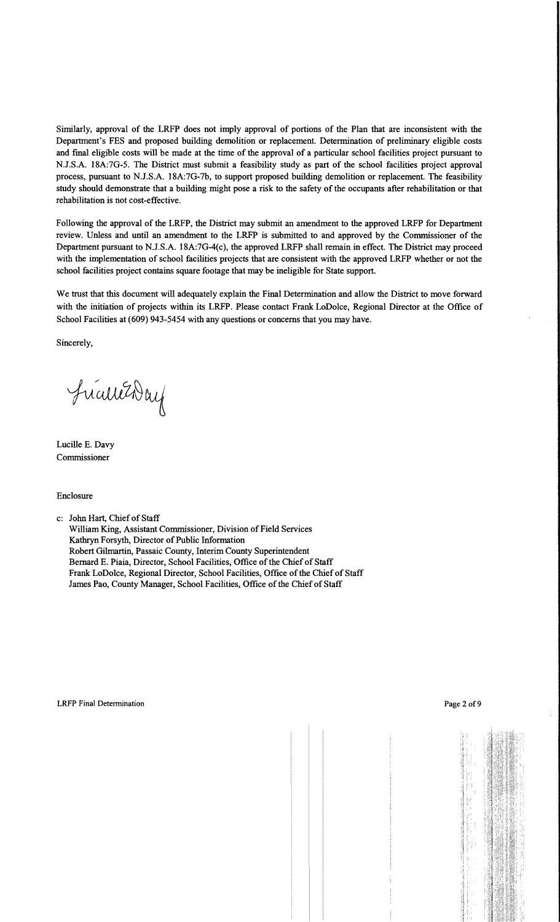Similarly, approval of the LRFP does not imply approval of portions of the Plan that are inconsistent with the Department's FES and proposed building demolition or replacement. Determination of preliminary eligible costs and final eligible costs will be made at the time of the approval of a particular school facilities project pursuant to N.J.S.A. 18A:7G-5. The District must submit a feasibility study as part of the school facilities project approval process, pursuant to N.J.S.A. 18A:7G-7b, to support proposed building demolition or replacement. The feasibility study should demonstrate that a building might pose a risk to the safety of the occupants after rehabilitation or that rehabilitation is not cost-effective.

Following the approval of the LRFP, the District may submit an amendment to the approved LRFP for Department review. Unless and until an amendment to the LRFP is submitted to and approved by the Commissioner of the Department pursuant to N.J.S.A. 18A:7G-4(c), the approved LRFP shall remain in effect. The District may proceed with the implementation of school facilities projects that are consistent with the approved LRFP whether or not the school facilities project contains square footage that may be ineligible for State support.

We trust that this document will adequately explain the Final Determination and allow the District to move forward with the initiation of projects within its LRFP. Please contact Frank LoDolce, Regional Director at the Office of School Facilities at (609) 943-5454 with any questions or concerns that you may have.

Sincerely,

FricureDay

Lucille E. Davy Commissioner

Enclosure

c: John Hart, Chief of Staff

William King, Assistant Commissioner, Division of Field Services Kathryn Forsyth, Director of Public Information Robert Gilmartin, Passaic County, Interim County Superintendent Bernard E. Piaia, Director, School Facilities, Office of the Chief of Staff Frank LoDolce, Regional Director, School Facilities, Office of the Chief of Staff James Pao, County Manager, School Facilities, Office of the Chief of Staff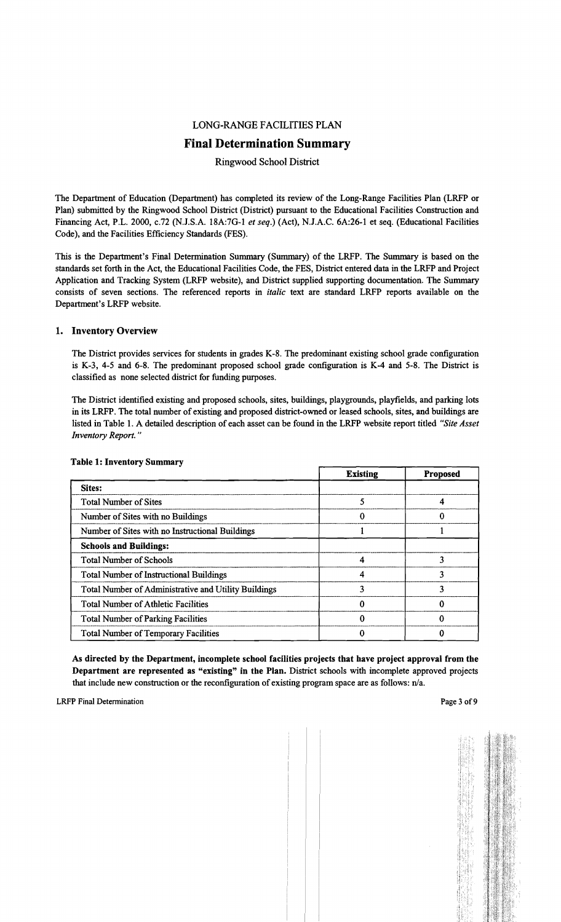## LONG-RANGE FACILITIES PLAN

# **Final Determination Summary**

## Ringwood School District

The Department of Education (Department) has completed its review of the Long-Range Facilities Plan (LRFP or Plan) submitted by the Ringwood School District (District) pursuant to the Educational Facilities Construction and Financing Act, P.L. 2000, c.72 (NJ.S.A. 18A:7G-l *et seq.)* (Act), N.lA.C. 6A:26-1 et seq. (Educational Facilities Code), and the Facilities Efficiency Standards (FES).

This is the Department's Final Determination Summary (Summary) of the LRFP. The Summary is based on the standards set forth in the Act, the Educational Facilities Code, the FES, District entered data in the LRFP and Project Application and Tracking System (LRFP website), and District supplied supporting documentation. The Summary consists of seven sections. The referenced reports in *italic* text are standard LRFP reports available on the Department's LRFP website.

#### 1. Inventory Overview

The District provides services for students in grades K-8. The predominant existing school grade configuration is K-3, 4-5 and 6-8. The predominant proposed school grade configuration is K-4 and 5-8. The District is classified as none selected district for funding purposes.

The District identified existing and proposed schools, sites, buildings, playgrounds, playfields, and parking lots in its LRFP. The total number of existing and proposed district-owned or leased schools, sites, and buildings are listed in Table 1. A detailed description of each asset can be found in the LRFP website report titled *"Site Asset Inventory Report. "* 

|                                                      | <b>Existing</b> | <b>Proposed</b> |
|------------------------------------------------------|-----------------|-----------------|
| Sites:                                               |                 |                 |
| <b>Total Number of Sites</b>                         |                 |                 |
| Number of Sites with no Buildings                    |                 |                 |
| Number of Sites with no Instructional Buildings      |                 |                 |
| <b>Schools and Buildings:</b>                        |                 |                 |
| <b>Total Number of Schools</b>                       |                 |                 |
| <b>Total Number of Instructional Buildings</b>       |                 | 3               |
| Total Number of Administrative and Utility Buildings |                 |                 |
| <b>Total Number of Athletic Facilities</b>           |                 |                 |
| <b>Total Number of Parking Facilities</b>            |                 |                 |
| <b>Total Number of Temporary Facilities</b>          |                 |                 |

#### Table 1: Inventory Summary

As directed by the Department, incomplete school facilities projects that have project approval from the Department are represented as "existing" in the Plan. District schools with incomplete approved projects that include new construction or the reconfiguration of existing program space are as follows: n/a.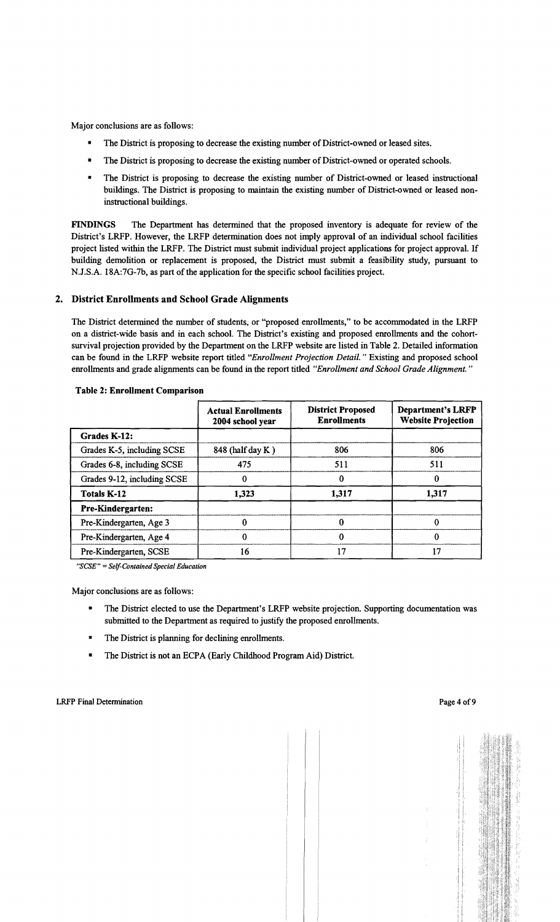Major conclusions are as follows:

- The District is proposing to decrease the existing number of District-owned or leased sites.
- The District is proposing to decrease the existing number of District-owned or operated schools.
- The District is proposing to decrease the existing number of District-owned or leased instructional buildings. The District is proposing to maintain the existing number of District-owned or leased noninstructional buildings.

FINDINGS The Department has determined that the proposed inventory is adequate for review of the District's LRFP. However, the LRFP determination does not imply approval of an individual school facilities project listed within the LRFP. The District must submit individual project applications for project approval. If building demolition or replacement is proposed, the District must submit a feasibility study, pursuant to N.J.S.A. 18A:7G-7b, as part of the application for the specific school facilities project.

### 2. District Enrollments and School Grade Alignments

The District determined the number of students, or "proposed enrollments," to be accommodated in the LRFP on a district-wide basis and in each school. The District's existing and proposed enrollments and the cohortsurvival projection provided by the Department on the LRFP website are listed in Table 2. Detailed information can be found in the LRFP website report titled *"Enrollment Projection Detail.* " Existing and proposed school enrollments and grade alignments can be found in the report titled *"Enrollment and School Grade Alignment. "* 

|                             | <b>Actual Enrollments</b><br>2004 school year | <b>District Proposed</b><br><b>Enrollments</b> | <b>Department's LRFP</b><br><b>Website Projection</b> |  |
|-----------------------------|-----------------------------------------------|------------------------------------------------|-------------------------------------------------------|--|
| Grades K-12:                |                                               |                                                |                                                       |  |
| Grades K-5, including SCSE  | 848 (half day K)                              | 806                                            | 806                                                   |  |
| Grades 6-8, including SCSE  | 475<br>511                                    |                                                | 511                                                   |  |
| Grades 9-12, including SCSE |                                               | $\Omega$                                       | 0                                                     |  |
| <b>Totals K-12</b>          | 1,323                                         | 1,317                                          | 1,317                                                 |  |
| <b>Pre-Kindergarten:</b>    |                                               |                                                |                                                       |  |
| Pre-Kindergarten, Age 3     | 0                                             | O                                              | 0                                                     |  |
| Pre-Kindergarten, Age 4     | $\Omega$                                      |                                                | 0                                                     |  |
| Pre-Kindergarten, SCSE      | 16                                            | 17                                             | 17                                                    |  |

#### Table 2: Enrollment Comparison

"SCSE" = Self-Contained Special Education

Major conclusions are as follows:

- The District elected to use the Department's LRFP website projection. Supporting documentation was submitted to the Department as required to justify the proposed enrollments.
- The District is planning for declining enrollments.
- The District is not an ECPA (Early Childhood Program Aid) District.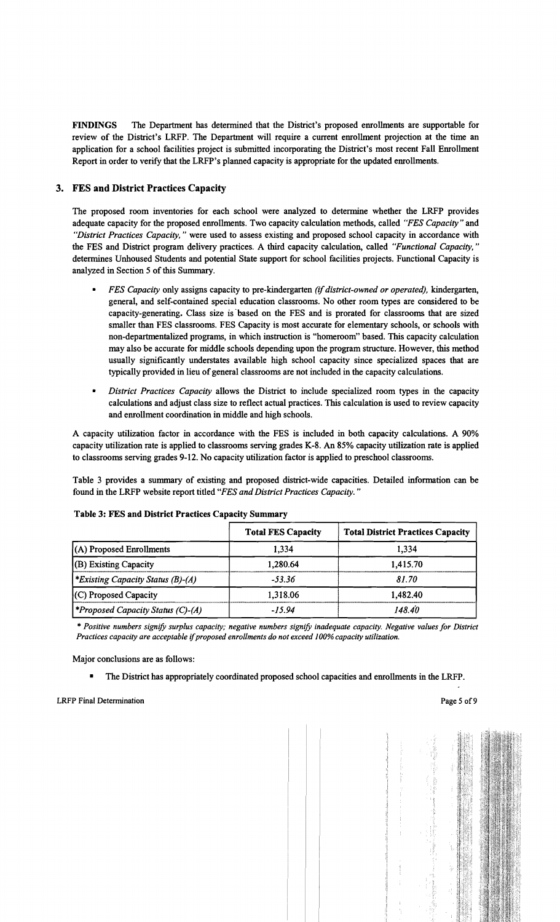FINDINGS The Department has determined that the District's proposed enrollments are supportable for review of the District's LRFP. The Department will require a current enrollment projection at the time an application for a school facilities project is submitted incorporating the District's most recent Fall Enrollment Report in order to verify that the LRFP's planned capacity is appropriate for the updated enrollments.

# 3. FES and District Practices Capacity

The proposed room inventories for each school were analyzed to determine whether the LRFP provides adequate capacity for the proposed enrollments. Two capacity calculation methods, called *"FES Capacity"* and *"District Practices Capacity,* " were used to assess existing and proposed school capacity in accordance with the FES and District program delivery practices. A third capacity calculation, called *"Functional Capacity, "*  determines Unhoused Students and potential State support for school facilities projects. Functional Capacity is analyzed in Section 5 of this Summary.

- *• FES Capacity* only assigns capacity to pre-kindergarten *(ifdistrict-owned or operated),* kindergarten, general, and self-contained special education classrooms. No other room types are considered to be capacity-generating. Class size is "based on the FES and is prorated for classrooms that are sized smaller than FES classrooms. FES Capacity is most accurate for elementary schools, or schools with non-departmentalized programs, in which instruction is "homeroom" based. This capacity calculation may also be accurate for middle schools depending upon the program structure. However, this method usually significantly understates available high school capacity since specialized spaces that are typically provided in lieu of general classrooms are not included in the capacity calculations.
- *District Practices Capacity allows the District to include specialized room types in the capacity* calculations and adjust class size to reflect actual practices. This calculation is used to review capacity and enrollment coordination in middle and high schools.

A capacity utilization factor in accordance with the FES is included in both capacity calculations. A 90% capacity utilization rate is applied to classrooms serving grades K-8. An 85% capacity utilization rate is applied to classrooms serving grades 9-12. No capacity utilization factor is applied to preschool classrooms.

Table 3 provides a summary of existing and proposed district-wide capacities. Detailed information can be found in the LRFP website report titled *"FES and District Practices Capacity. "* 

|                                         | <b>Total FES Capacity</b> | <b>Total District Practices Capacity</b> |
|-----------------------------------------|---------------------------|------------------------------------------|
| (A) Proposed Enrollments                | 1.334                     | 1,334                                    |
| (B) Existing Capacity                   | 1,280.64                  | 1,415.70                                 |
| <i>Existing Capacity Status (B)-(A)</i> | $-53.36$                  | 81.70                                    |
| (C) Proposed Capacity                   | 1,318.06                  | 1,482.40                                 |
| <i>Froposed Capacity Status (C)-(A)</i> | $-15.94$                  | 148.40                                   |

#### Table 3: FES and District Practices Capacity Summary

\* *Positive numbers signify surplus capacity; negative numbers signify inadequate capacity. Negative values for District Practices capacity are acceptable* if*proposed enrollments do not exceed 100% capacity utilization.* 

Major conclusions are as follows:

• The District has appropriately coordinated proposed school capacities and enrollments in the LRFP.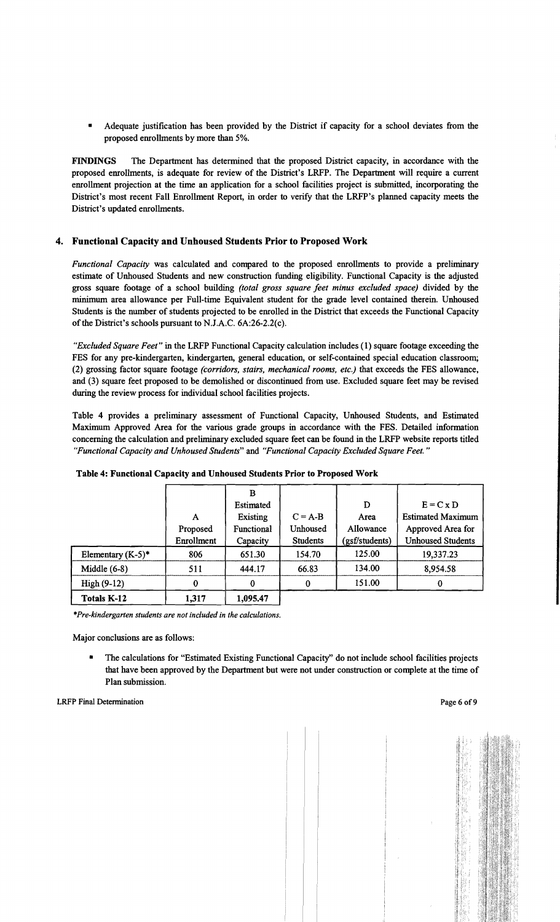Adequate justification has been provided by the District if capacity for a school deviates from the proposed enrollments by more than 5%.

FINDINGS The Department has determined that the proposed District capacity, in accordance with the proposed enrollments, is adequate for review of the District's LRFP. The Department will require a current enrollment projection at the time an application for a school facilities project is submitted, incorporating the District's most recent Fall Enrollment Report, in order to verify that the LRFP's planned capacity meets the District's updated enrollments.

# 4. Functional Capacity and Unhoused Students Prior to Proposed Work

*Functional Capacity* was calculated and compared to the proposed enrollments to provide a preliminary estimate of Unhoused Students and new construction funding eligibility. Functional Capacity is the adjusted gross square footage of a school building *(total gross square feet minus excluded space)* divided by the minimum area allowance per Full-time Equivalent student for the grade level contained therein. Unhoused Students is the number of students projected to be enrolled in the District that exceeds the Functional Capacity of the District's schools pursuant to N.J.A.C.  $6A:26-2.2(c)$ .

*"Excluded Square Feet"* in the LRFP Functional Capacity calculation includes (1) square footage exceeding the FES for any pre-kindergarten, kindergarten, general education, or self-contained special education classroom; (2) grossing factor square footage *(corridors, stairs, mechanical rooms, etc.)* that exceeds the FES allowance, and (3) square feet proposed to be demolished or discontinued from use. Excluded square feet may be revised during the review process for individual school facilities projects.

Table 4 provides a preliminary assessment of Functional Capacity, Unhoused Students, and Estimated Maximum Approved Area for the various grade groups in accordance with the FES. Detailed information concerning the calculation and preliminary excluded square feet can be found in the LRFP website reports titled *"Functional Capacity and Unhoused Students"* and *"Functional Capacity Excluded Square Feet. "* 

|                      |            | B                 |                 |                |                          |
|----------------------|------------|-------------------|-----------------|----------------|--------------------------|
|                      |            | Estimated         |                 | D              | $E = C \times D$         |
|                      | A          | Existing          | $C = A-B$       | Area           | <b>Estimated Maximum</b> |
|                      | Proposed   | <b>Functional</b> | Unhoused        | Allowance      | Approved Area for        |
|                      | Enrollment | Capacity          | <b>Students</b> | (gsf/students) | <b>Unhoused Students</b> |
| Elementary $(K-5)^*$ | 806        | 651.30            | 154.70          | 125.00         | 19,337.23                |
| Middle $(6-8)$       | 511        | 444.17            | 66.83           | 134.00         | 8,954.58                 |
| High $(9-12)$        | 0          | 0                 | 0               | 151.00         | 0                        |
| Totals K-12          | 1,317      | 1,095.47          |                 |                |                          |

#### Table 4: Functional Capacity and Unhoused Students Prior to Proposed Work

*"'Pre-kindergarten students are not included in the calculations.* 

Major conclusions are as follows:

The calculations for "Estimated Existing Functional Capacity" do not include school facilities projects that have been approved by the Department but were not under construction or complete at the time of Plan submission.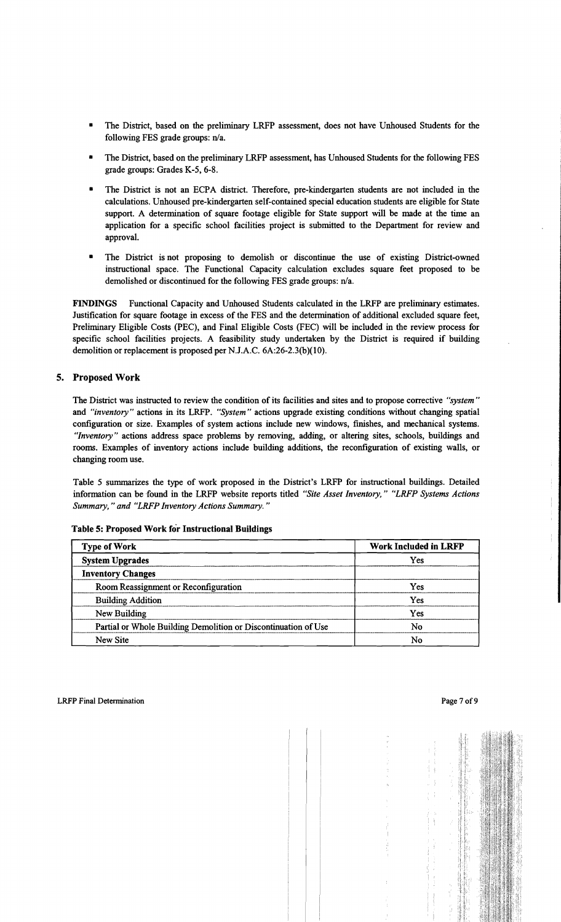- The District, based on the preliminary LRFP assessment, does not have Unhoused Students for the following FES grade groups: n/a.
- The District, based on the preliminary LRFP assessment, has Unhoused Students for the following FES grade groups: Grades K-5, 6-8.
- The District is not an ECPA district. Therefore, pre-kindergarten students are not included in the calculations. Unhoused pre-kindergarten self-contained special education students are eligible for State support. A determination of square footage eligible for State support will be made at the time an application for a specific school facilities project is submitted to the Department for review and approval.
- The District is not proposing to demolish or discontinue the use of existing District-owned instructional space. The Functional Capacity calculation excludes square feet proposed to be demolished or discontinued for the following FES grade groups: n/a.

FINDINGS Functional Capacity and Unhoused Students calculated in the LRFP are preliminary estimates. Justification for square footage in excess of the FES and the determination of additional excluded square feet, Preliminary Eligible Costs (PEC), and Final Eligible Costs (FEC) will be included in the review process for specific school facilities projects. A feasibility study undertaken by the District is required if building demolition or replacement is proposed per N.J.A.C. 6A:26-2.3(b)(10).

#### 5. Proposed Work

The District was instructed to review the condition of its facilities and sites and to propose corrective *"system"*  and *"inventory"* actions in its LRFP. *"System"* actions upgrade existing conditions without changing spatial configuration or size. Examples of system actions include new windows, finishes, and mechanical systems. *"Inventory"* actions address space problems by removing, adding, or altering sites, schools, buildings and rooms. Examples of inventory actions include building additions, the reconfiguration of existing walls, or changing room use.

Table 5 summarizes the type of work proposed in the District's LRFP for instructional buildings. Detailed information can be found in the LRFP website reports titled *"Site Asset Inventory," "LRFP Systems Actions Summary," and "LRFP Inventory Actions Summary."* 

| <b>Type of Work</b>                                            | <b>Work Included in LRFP</b> |  |
|----------------------------------------------------------------|------------------------------|--|
| <b>System Upgrades</b>                                         | Yes                          |  |
| <b>Inventory Changes</b>                                       |                              |  |
| Room Reassignment or Reconfiguration                           | Yes                          |  |
| <b>Building Addition</b>                                       | Yes                          |  |
| New Building                                                   | Yes                          |  |
| Partial or Whole Building Demolition or Discontinuation of Use | No                           |  |
| New Site                                                       | No                           |  |

Table 5: Proposed Work for Instructional Buildings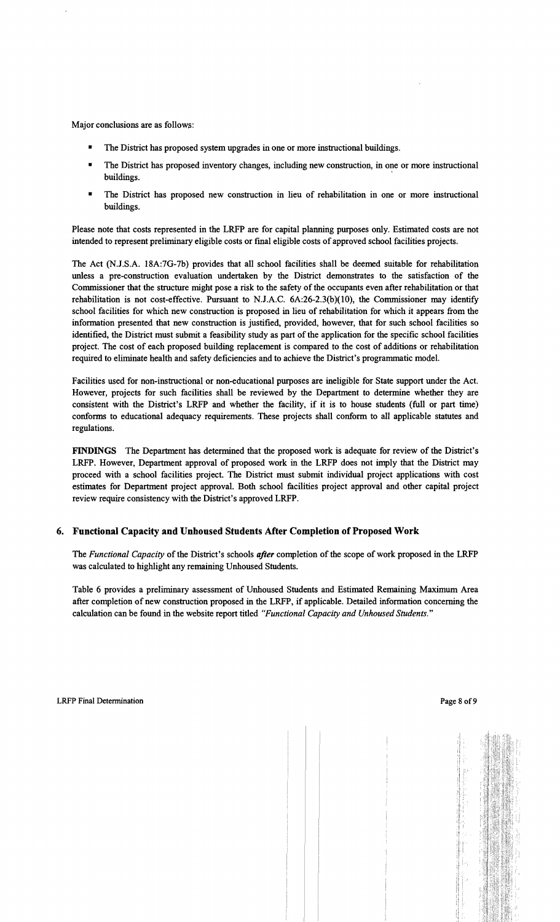Major conclusions are as follows:

- The District has proposed system upgrades in one or more instructional buildings.
- The District has proposed inventory changes, including new construction, in one or more instructional buildings.
- The District has proposed new construction in lieu of rehabilitation in one or more instructional buildings.

Please note that costs represented in the LRFP are for capital planning purposes only. Estimated costs are not intended to represent preliminary eligible costs or fmal eligible costs of approved school facilities projects.

The Act (N.J.S.A. 18A:7G-7b) provides that all school facilities shall be deemed suitable for rehabilitation unless a pre-construction evaluation undertaken by the District demonstrates to the satisfaction of the Commissioner that the structure might pose a risk to the safety of the occupants even after rehabilitation or that rehabilitation is not cost-effective. Pursuant to NJ.A.C. 6A:26-2.3(b)(10), the Commissioner may identify school facilities for which new construction is proposed in lieu of rehabilitation for which it appears from the information presented that new construction is justified, provided, however, that for such school facilities so identified, the District must submit a feasibility study as part of the application for the specific school facilities project. The cost of each proposed building replacement is compared to the cost of additions or rehabilitation required to eliminate health and safety deficiencies and to achieve the District's programmatic model.

Facilities used for non-instructional or non-educational purposes are ineligible for State support under the Act. However, projects for such facilities shall be reviewed by the Department to determine whether they are consistent with the District's LRFP and whether the facility, if it is to house students (full or part time) conforms to educational adequacy requirements. These projects shall conform to all applicable statutes and regulations.

FINDINGS The Department has determined that the proposed work is adequate for review of the District's LRFP. However, Department approval of proposed work in the LRFP does not imply that the District may proceed with a school facilities project. The District must submit individual project applications with cost estimates for Department project approval. Both school facilities project approval and other capital project review require consistency with the District's approved LRFP.

# 6. Functional Capacity and Unhoused Students Mter Completion of Proposed Work

The *Functional Capacity* of the District's schools *after* completion of the scope of work proposed in the LRFP was calculated to highlight any remaining Unhoused Students.

Table 6 provides a preliminary assessment of Unhoused Students and Estimated Remaining Maximum Area after completion of new construction proposed in the LRFP, if applicable. Detailed information concerning the calculation can be found in the website report titled *((Functional Capacity and Unhoused Students."*